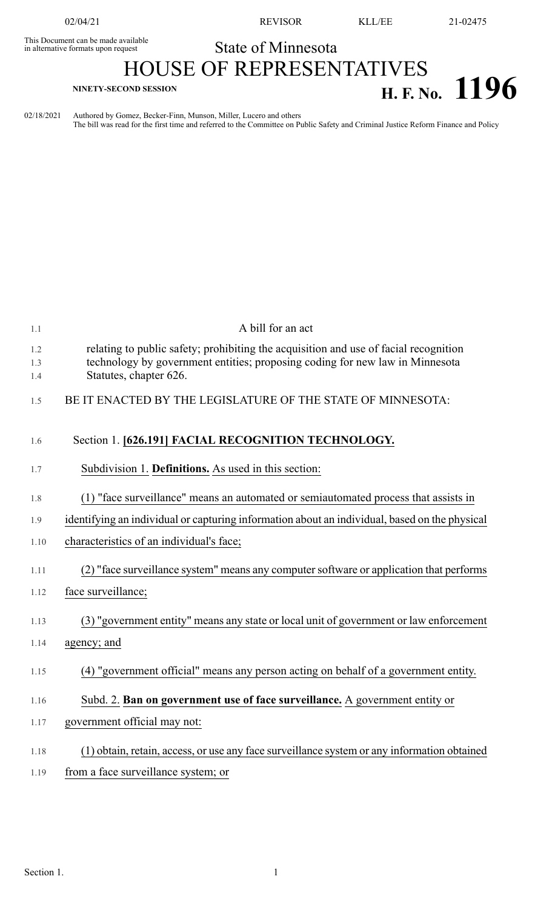This Document can be made available<br>in alternative formats upon request

02/04/21 REVISOR KLL/EE 21-02475

## State of Minnesota

## HOUSE OF REPRESENTATIVES **H. F. No. 1196**

02/18/2021 Authored by Gomez, Becker-Finn, Munson, Miller, Lucero and others The bill was read for the first time and referred to the Committee on Public Safety and Criminal Justice Reform Finance and Policy

| 1.1               | A bill for an act                                                                                                                                                                              |
|-------------------|------------------------------------------------------------------------------------------------------------------------------------------------------------------------------------------------|
| 1.2<br>1.3<br>1.4 | relating to public safety; prohibiting the acquisition and use of facial recognition<br>technology by government entities; proposing coding for new law in Minnesota<br>Statutes, chapter 626. |
| 1.5               | BE IT ENACTED BY THE LEGISLATURE OF THE STATE OF MINNESOTA:                                                                                                                                    |
| 1.6               | Section 1. [626.191] FACIAL RECOGNITION TECHNOLOGY.                                                                                                                                            |
| 1.7               | Subdivision 1. Definitions. As used in this section:                                                                                                                                           |
| 1.8               | (1) "face surveillance" means an automated or semiautomated process that assists in                                                                                                            |
| 1.9               | identifying an individual or capturing information about an individual, based on the physical                                                                                                  |
| 1.10              | characteristics of an individual's face;                                                                                                                                                       |
| 1.11              | (2) "face surveillance system" means any computer software or application that performs                                                                                                        |
| 1.12              | face surveillance;                                                                                                                                                                             |
| 1.13              | (3) "government entity" means any state or local unit of government or law enforcement                                                                                                         |
| 1.14              | agency; and                                                                                                                                                                                    |
| 1.15              | (4) "government official" means any person acting on behalf of a government entity.                                                                                                            |
| 1.16              | Subd. 2. Ban on government use of face surveillance. A government entity or                                                                                                                    |
| 1.17              | government official may not:                                                                                                                                                                   |
| 1.18              | (1) obtain, retain, access, or use any face surveillance system or any information obtained                                                                                                    |
| 1.19              | from a face surveillance system; or                                                                                                                                                            |